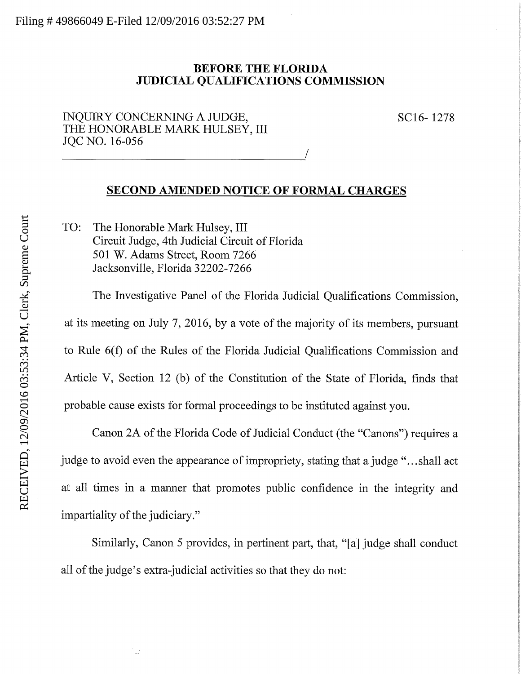## BEFORE THE FLORIDA JUDICIAL QUALIFICATIONS COMMISSION

ENQUIRY CONCERNING A JUDGE, SC16-1278 THE HONORABLE MARK HULSEY, III JQCNO. 16-056

## SECOND AMENDED NOTICE OF FORMAL CHARGES

TO: The Honorable Mark Hulsey, III Circuit Judge, 4th Judicial Circuit of Florida 501 W. Adams Street, Room 7266 Jacksonville, Florida 32202-7266

The Investigative Panel of the Florida Judicial Qualifications Commission, at its meeting on July 7, 2016, by a vote of the majority of its members, pursuant to Rule 6(f) of the Rules of the Florida Judicial Qualifications Commission and Article V, Section 12 (b) of the Constitution of the State of Florida, finds that probable cause exists for formal proceedings to be instituted against you.

Canon 2A of the Florida Code of Judicial Conduct (the "Canons") requires a judge to avoid even the appearance of impropriety, stating that a judge ".. .shall act at all times in a manner that promotes public confidence in the integrity and impartiality of the judiciary."

Similarly, Canon 5 provides, in pertinent part, that, "[a] judge shall conduct all of the judge's extra-judicial activities so that they do not: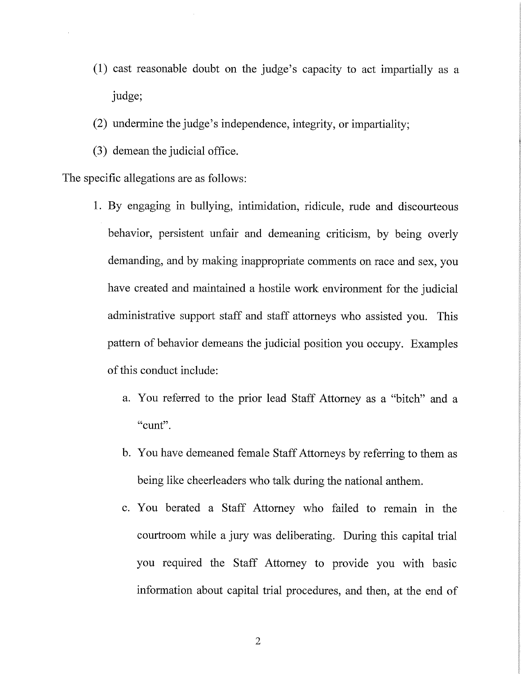- (1) cast reasonable doubt on the judge's capacity to act impartially as a judge;
- (2) undermine the judge's independence, integrity, or impartiality;
- (3) demean the judicial office.

The specific allegations are as follows:

- 1. By engaging in bullying, intimidation, ridicule, rude and discourteous behavior, persistent unfair and demeaning criticism, by being overly demanding, and by making inappropriate comments on race and sex, you have created and maintained a hostile work environment for the judicial administrative support staff and staff attorneys who assisted you. This pattern of behavior demeans the judicial position you occupy. Examples of this conduct include:
	- a. You referred to the prior lead Staff Attorney as a "bitch" and a "cunt".
	- b. You have demeaned female Staff Attorneys by referring to them as being like cheerleaders who talk during the national anthem.
	- c. You berated a Staff Attorney who failed to remain in the courtroom while a jury was deliberating. During this capital trial you required the Staff Attorney to provide you with basic information about capital trial procedures, and then, at the end of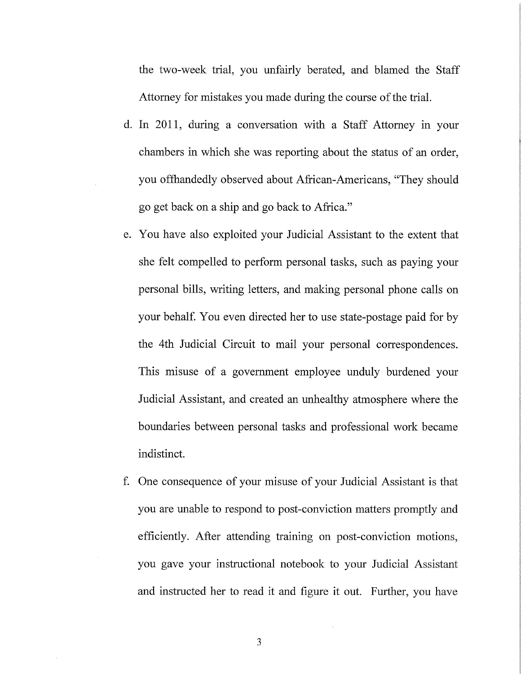the two-week trial, you unfairly berated, and blamed the Staff Attorney for mistakes you made during the course of the trial.

- d. In 2011, during a conversation with a Staff Attorney in your chambers in which she was reporting about the status of an order, you offhandedly observed about African-Americans, "They should go get back on a ship and go back to Africa."
- e. You have also exploited your Judicial Assistant to the extent that she felt compelled to perform personal tasks, such as paying your personal bills, writing letters, and making personal phone calls on your behalf. You even directed her to use state-postage paid for by the 4th Judicial Circuit to mail your personal correspondences. This misuse of a government employee unduly burdened your Judicial Assistant, and created an unhealthy atmosphere where the boundaries between personal tasks and professional work became indistinct.
- f. One consequence of your misuse of your Judicial Assistant is that you are unable to respond to post-conviction matters promptly and efficiently. After attending training on post-conviction motions, you gave your instructional notebook to your Judicial Assistant and instructed her to read it and figure it out. Further, you have

3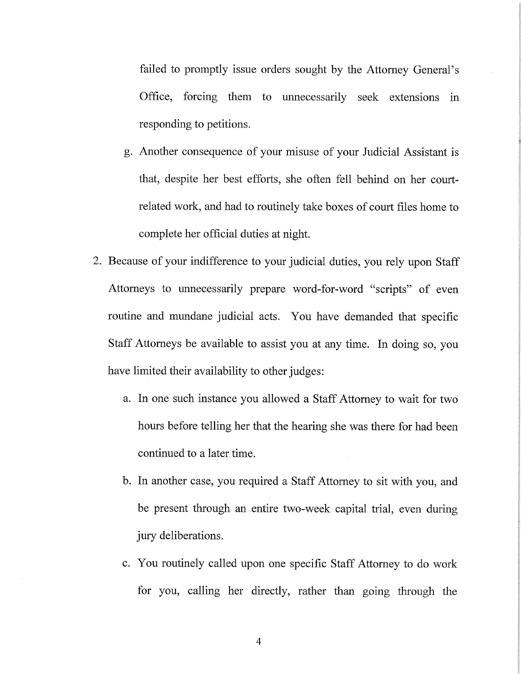failed to promptly issue orders sought by the Attorney General's Office, forcing them to unnecessarily seek extensions in responding to petitions.

- g. Another consequence of your misuse of your Judicial Assistant is that, despite her best efforts, she often fell behind on her courtrelated work, and had to routinely take boxes of court files home to complete her official duties at night.
- 2. Because of your indifference to your judicial duties, you rely upon Staff Attorneys to unnecessarily prepare word-for-word "scripts" of even routine and mundane judicial acts. You have demanded that specific Staff Attorneys be available to assist you at any time. In doing so, you have limited their availability to other judges:
	- a. In one such instance you allowed a Staff Attorney to wait for two hours before telling her that the hearing she was there for had been continued to a later time.
	- b. In another case, you required a Staff Attorney to sit with you, and be present through an entire two-week capital trial, even during jury deliberations.
	- c. You routinely called upon one specific Staff Attorney to do work for you, calling her directly, rather than going through the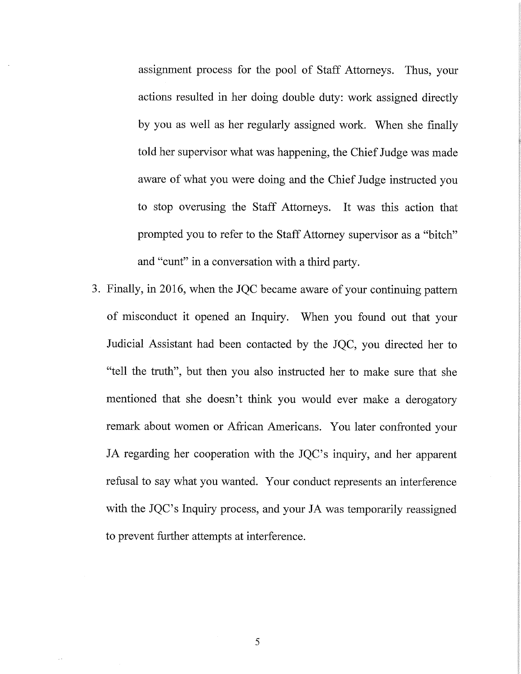assignment process for the pool of Staff Attorneys. Thus, your actions resulted in her doing double duty: work assigned directly by you as well as her regularly assigned work. When she finally told her supervisor what was happening, the Chief Judge was made aware of what you were doing and the Chief Judge instructed you to stop ovemsing the Staff Attorneys. It was this action that prompted you to refer to the Staff Attorney supervisor as a "bitch" and "emit" in a conversation with a third party.

3. Finally, in 2016, when the JQC became aware of your continuing pattern of misconduct it opened an Inquiry. When you found out that your Judicial Assistant had been contacted by the JQC, you directed her to "tell the truth", but then you also instructed her to make sure that she mentioned that she doesn't think you would ever make a derogatory remark about women or African Americans. You later confronted your JA regarding her cooperation with the JQC's inquiry, and her apparent refusal to say what you wanted. Your conduct represents an interference with the JQC's Inquiry process, and your JA was temporarily reassigned to prevent further attempts at interference.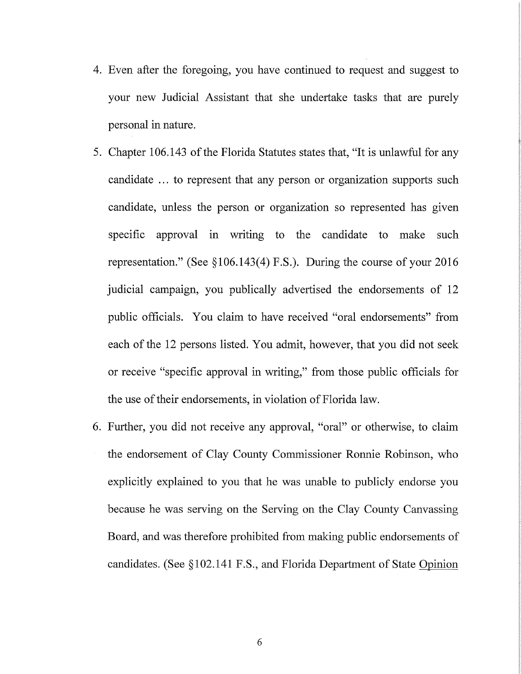- 4. Even after the foregoing, you have continued to request and suggest to your new Judicial Assistant that she undertake tasks that are purely personal in nature.
- 5. Chapter 106.143 of the Florida Statutes states that, "It is unlawful for any candidate ... to represent that any person or organization supports such candidate, unless the person or organization so represented has given specific approval in writing to the candidate to make such representation." (See §106.143(4) F.S.). During the course of your 2016 judicial campaign, you publically advertised the endorsements of 12 public officials. You claim to have received "oral endorsements" from each of the 12 persons listed. You admit, however, that you did not seek or receive "specific approval in writing," from those public officials for the use of their endorsements, in violation of Florida law.
- 6. Further, you did not receive any approval, "oral" or otherwise, to claim the endorsement of Clay County Commissioner Ronnie Robinson, who explicitly explained to you that he was unable to publicly endorse you because he was serving on the Serving on the Clay County Canvassing Board, and was therefore prohibited from making public endorsements of candidates. (See §102.141 F.S., and Florida Department of State Opinion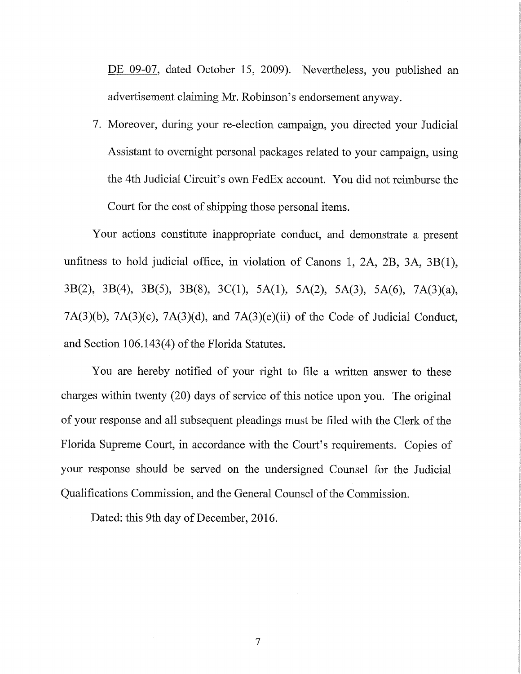DE 09-07, dated October 15, 2009). Nevertheless, you published an advertisement claiming Mr. Robinson's endorsement anyway.

7. Moreover, during your re-election campaign, you directed your Judicial Assistant to overnight personal packages related to your campaign, using the 4th Judicial Circuit's own FedEx account. You did not reimburse the Court for the cost of shipping those personal items.

Your actions constitute inappropriate conduct, and demonstrate a present unfitness to hold judicial office, in violation of Canons 1, 2A, 2B, 3A, 3B(1), 3B(2), 3B(4), 3B(5), 3B(8), 3C(1), 5A(1), 5A(2), 5A(3), 5A(6), 7A(3)(a), 7A(3)(b), 7A(3)(c), 7A(3)(d), and 7A(3)(e)(ii) of the Code of Judicial Conduct, and Section 106.143(4) of the Florida Statutes.

You are hereby notified of your right to file a written answer to these charges within twenty (20) days of service of this notice upon you. The original of your response and all subsequent pleadings must be filed with the Clerk of the Florida Supreme Court, in accordance with the Court's requirements. Copies of your response should be served on the undersigned Counsel for the Judicial Qualifications Commission, and the General Counsel of the Commission.

 $\overline{7}$ 

Dated: this 9th day of December, 2016.